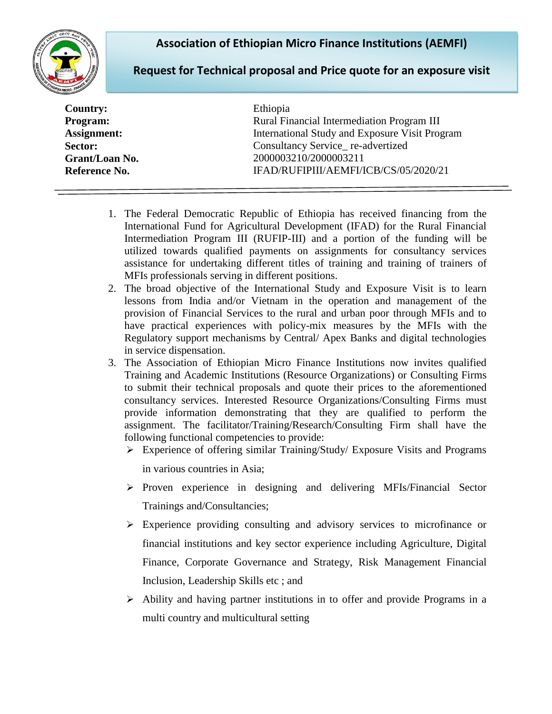## **Association of Ethiopian Micro Finance Institutions (AEMFI)**



## **Request for Technical proposal and Price quote for an exposure visit**

| <b>Country:</b> | Ethiopia                                       |
|-----------------|------------------------------------------------|
| Program:        | Rural Financial Intermediation Program III     |
| Assignment:     | International Study and Exposure Visit Program |
| Sector:         | Consultancy Service_re-advertized              |
| Grant/Loan No.  | 2000003210/2000003211                          |
| Reference No.   | IFAD/RUFIPIII/AEMFI/ICB/CS/05/2020/21          |
|                 |                                                |

- 1. The Federal Democratic Republic of Ethiopia has received financing from the International Fund for Agricultural Development (IFAD) for the Rural Financial Intermediation Program III (RUFIP-III) and a portion of the funding will be utilized towards qualified payments on assignments for consultancy services assistance for undertaking different titles of training and training of trainers of MFIs professionals serving in different positions.
- 2. The broad objective of the International Study and Exposure Visit is to learn lessons from India and/or Vietnam in the operation and management of the provision of Financial Services to the rural and urban poor through MFIs and to have practical experiences with policy-mix measures by the MFIs with the Regulatory support mechanisms by Central/ Apex Banks and digital technologies in service dispensation.
- 3. The Association of Ethiopian Micro Finance Institutions now invites qualified Training and Academic Institutions (Resource Organizations) or Consulting Firms to submit their technical proposals and quote their prices to the aforementioned consultancy services. Interested Resource Organizations/Consulting Firms must provide information demonstrating that they are qualified to perform the assignment. The facilitator/Training/Research/Consulting Firm shall have the following functional competencies to provide:
	- Experience of offering similar Training/Study/ Exposure Visits and Programs in various countries in Asia;
	- $\triangleright$  Proven experience in designing and delivering MFIs/Financial Sector Trainings and/Consultancies;
	- $\triangleright$  Experience providing consulting and advisory services to microfinance or financial institutions and key sector experience including Agriculture, Digital Finance, Corporate Governance and Strategy, Risk Management Financial Inclusion, Leadership Skills etc ; and
	- $\triangleright$  Ability and having partner institutions in to offer and provide Programs in a multi country and multicultural setting